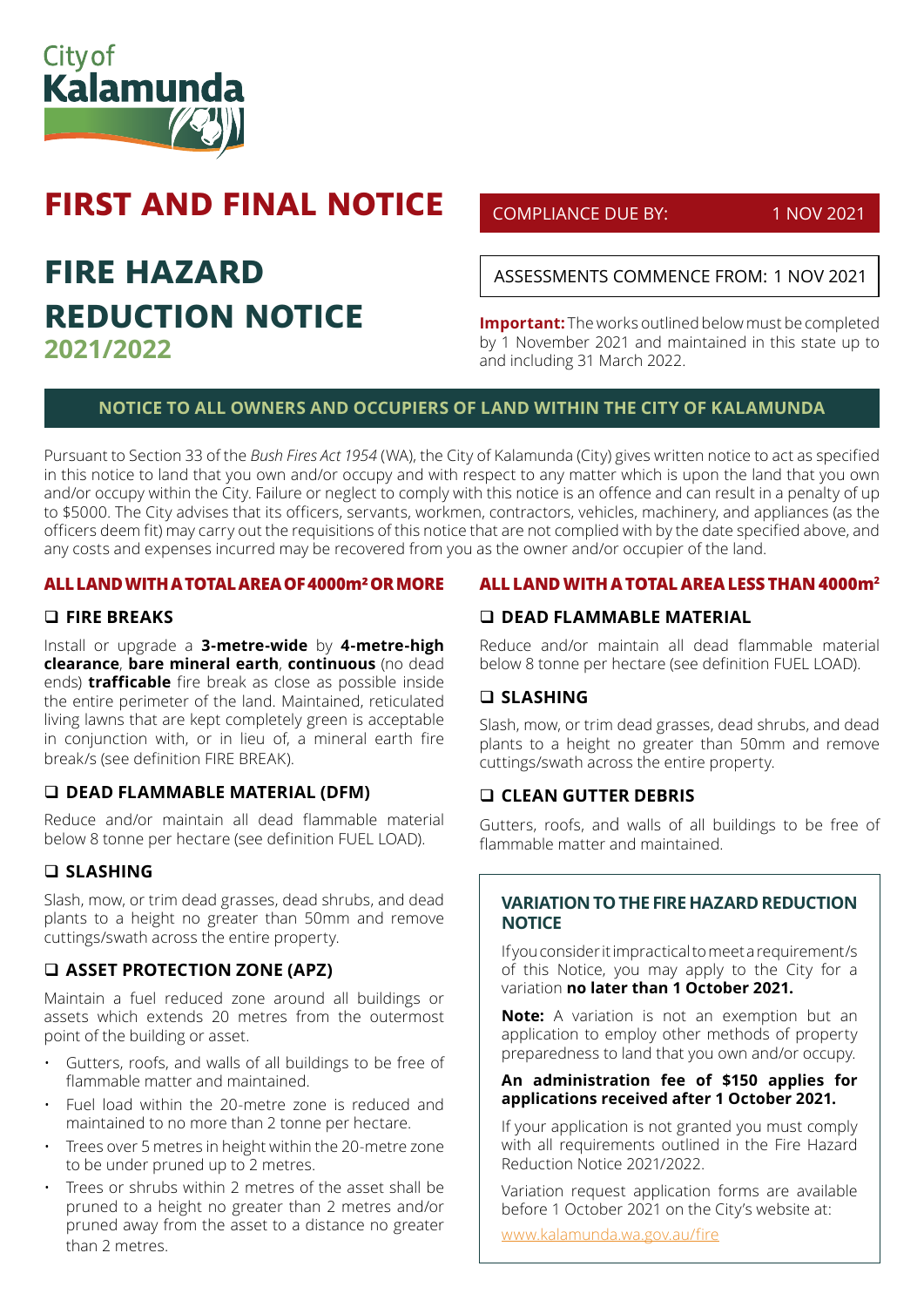

# **FIRST AND FINAL NOTICE**

## **FIRE HAZARD REDUCTION NOTICE 2021/2022**

## COMPLIANCE DUE BY: 1 NOV 2021

ASSESSMENTS COMMENCE FROM: 1 NOV 2021

**Important:** The works outlined below must be completed by 1 November 2021 and maintained in this state up to and including 31 March 2022.

## **NOTICE TO ALL OWNERS AND OCCUPIERS OF LAND WITHIN THE CITY OF KALAMUNDA**

Pursuant to Section 33 of the *Bush Fires Act 1954* (WA), the City of Kalamunda (City) gives written notice to act as specified in this notice to land that you own and/or occupy and with respect to any matter which is upon the land that you own and/or occupy within the City. Failure or neglect to comply with this notice is an offence and can result in a penalty of up to \$5000. The City advises that its officers, servants, workmen, contractors, vehicles, machinery, and appliances (as the officers deem fit) may carry out the requisitions of this notice that are not complied with by the date specified above, and any costs and expenses incurred may be recovered from you as the owner and/or occupier of the land.

#### **ALL LAND WITH A TOTAL AREA OF 4000m² OR MORE**

#### **FIRE BREAKS**

Install or upgrade a **3-metre-wide** by **4-metre-high clearance**, **bare mineral earth**, **continuous** (no dead ends) **trafficable** fire break as close as possible inside the entire perimeter of the land. Maintained, reticulated living lawns that are kept completely green is acceptable in conjunction with, or in lieu of, a mineral earth fire break/s (see definition FIRE BREAK).

#### **DEAD FLAMMABLE MATERIAL (DFM)**

Reduce and/or maintain all dead flammable material below 8 tonne per hectare (see definition FUEL LOAD).

## **SLASHING**

Slash, mow, or trim dead grasses, dead shrubs, and dead plants to a height no greater than 50mm and remove cuttings/swath across the entire property.

## **ASSET PROTECTION ZONE (APZ)**

Maintain a fuel reduced zone around all buildings or assets which extends 20 metres from the outermost point of the building or asset.

- Gutters, roofs, and walls of all buildings to be free of flammable matter and maintained.
- Fuel load within the 20-metre zone is reduced and maintained to no more than 2 tonne per hectare.
- Trees over 5 metres in height within the 20-metre zone to be under pruned up to 2 metres.
- Trees or shrubs within 2 metres of the asset shall be pruned to a height no greater than 2 metres and/or pruned away from the asset to a distance no greater than 2 metres.

#### **ALL LAND WITH A TOTAL AREA LESS THAN 4000m2**

## **DEAD FLAMMABLE MATERIAL**

Reduce and/or maintain all dead flammable material below 8 tonne per hectare (see definition FUEL LOAD).

#### **SLASHING**

Slash, mow, or trim dead grasses, dead shrubs, and dead plants to a height no greater than 50mm and remove cuttings/swath across the entire property.

#### **CLEAN GUTTER DEBRIS**

Gutters, roofs, and walls of all buildings to be free of flammable matter and maintained.

#### **VARIATION TO THE FIRE HAZARD REDUCTION NOTICE**

If you consider it impractical to meet a requirement/s of this Notice, you may apply to the City for a variation **no later than 1 October 2021.** 

**Note:** A variation is not an exemption but an application to employ other methods of property preparedness to land that you own and/or occupy.

#### **An administration fee of \$150 applies for applications received after 1 October 2021.**

If your application is not granted you must comply with all requirements outlined in the Fire Hazard Reduction Notice 2021/2022.

Variation request application forms are available before 1 October 2021 on the City's website at:

www.kalamunda.wa.gov.au/fire